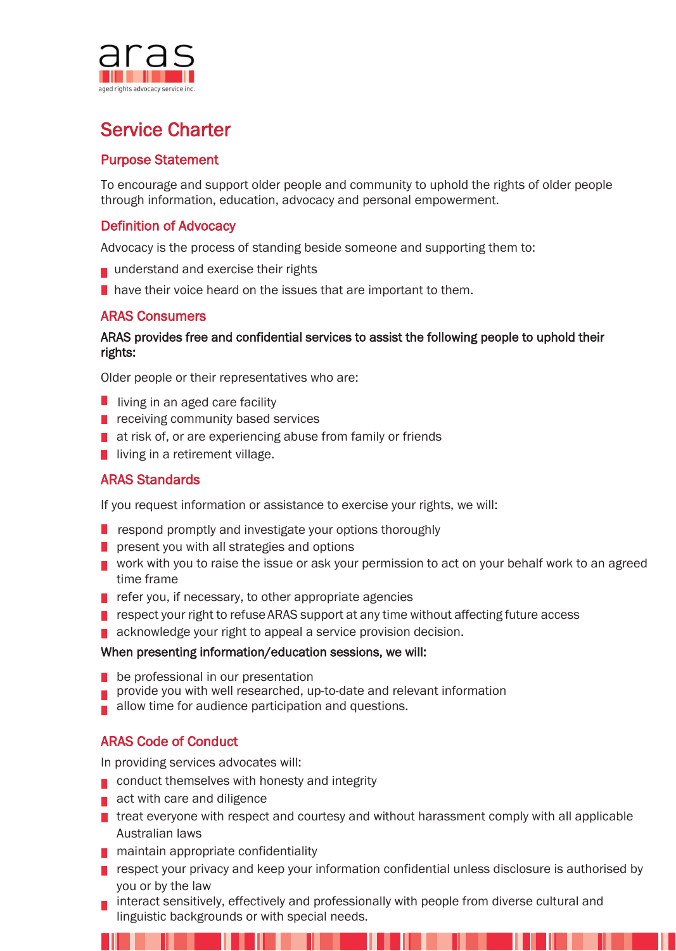

# Service Charter

## Purpose Statement

To encourage and support older people and community to uphold the rights of older people through information, education, advocacy and personal empowerment.

## Definition of Advocacy

Advocacy is the process of standing beside someone and supporting them to:

- understand and exercise their rights
- **have their voice heard on the issues that are important to them.**

## ARAS Consumers

## ARAS provides free and confidential services to assist the following people to uphold their rights:

Older people or their representatives who are:

- $\blacksquare$  living in an aged care facility
- receiving community based services
- **a** at risk of, or are experiencing abuse from family or friends
- living in a retirement village.

## ARAS Standards

If you request information or assistance to exercise your rights, we will:

- $\blacksquare$  respond promptly and investigate your options thoroughly
- $\blacksquare$  present you with all strategies and options
- **v** work with you to raise the issue or ask your permission to act on your behalf work to an agreed time frame
- $\blacksquare$  refer you, if necessary, to other appropriate agencies
- $\blacksquare$  respect your right to refuse ARAS support at any time without affecting future access
- acknowledge your right to appeal a service provision decision.

#### When presenting information/education sessions, we will:

- be professional in our presentation
- provide you with well researched, up-to-date and relevant information
- allow time for audience participation and questions.

# ARAS Code of Conduct

In providing services advocates will:

- conduct themselves with honesty and integrity
- act with care and diligence
- treat everyone with respect and courtesy and without harassment comply with all applicable Australian laws
- maintain appropriate confidentiality
- **P** respect your privacy and keep your information confidential unless disclosure is authorised by you or by the law
- interact sensitively, effectively and professionally with people from diverse cultural and linguistic backgrounds or with special needs.